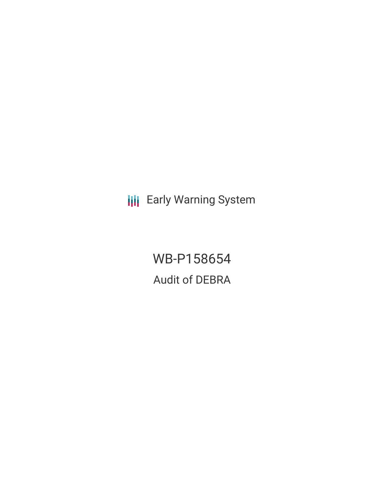**III** Early Warning System

WB-P158654 Audit of DEBRA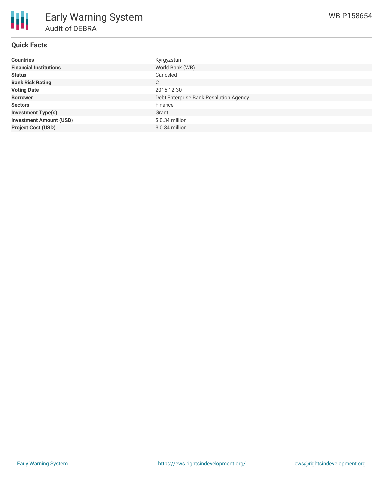## **Quick Facts**

| <b>Countries</b>               | Kyrgyzstan                             |
|--------------------------------|----------------------------------------|
| <b>Financial Institutions</b>  | World Bank (WB)                        |
| <b>Status</b>                  | Canceled                               |
| <b>Bank Risk Rating</b>        | C                                      |
| <b>Voting Date</b>             | 2015-12-30                             |
| <b>Borrower</b>                | Debt Enterprise Bank Resolution Agency |
| <b>Sectors</b>                 | Finance                                |
| <b>Investment Type(s)</b>      | Grant                                  |
| <b>Investment Amount (USD)</b> | $$0.34$ million                        |
| <b>Project Cost (USD)</b>      | $$0.34$ million                        |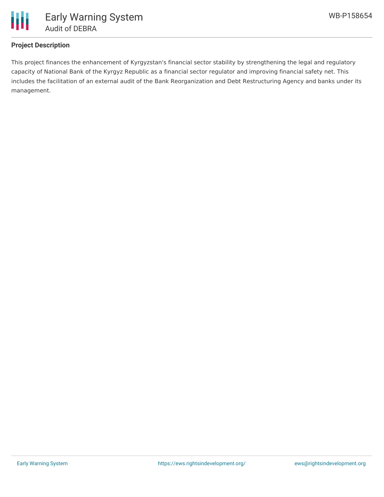

# **Project Description**

This project finances the enhancement of Kyrgyzstan's financial sector stability by strengthening the legal and regulatory capacity of National Bank of the Kyrgyz Republic as a financial sector regulator and improving financial safety net. This includes the facilitation of an external audit of the Bank Reorganization and Debt Restructuring Agency and banks under its management.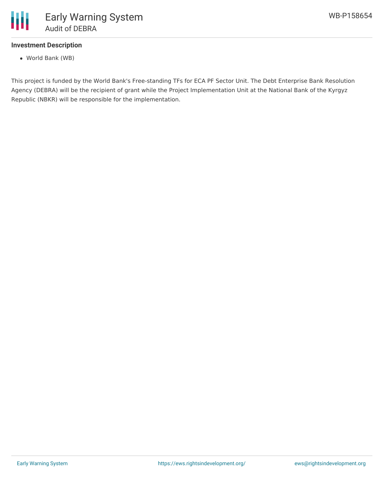

# **Investment Description**

World Bank (WB)

This project is funded by the World Bank's Free-standing TFs for ECA PF Sector Unit. The Debt Enterprise Bank Resolution Agency (DEBRA) will be the recipient of grant while the Project Implementation Unit at the National Bank of the Kyrgyz Republic (NBKR) will be responsible for the implementation.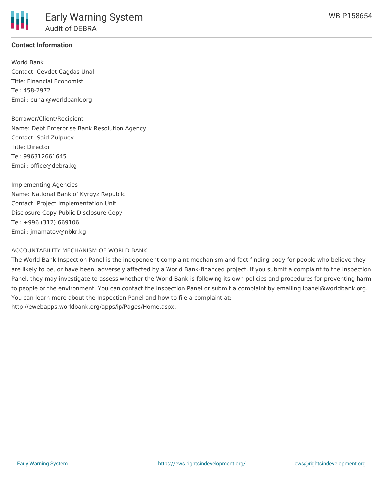# **Contact Information**

World Bank Contact: Cevdet Cagdas Unal Title: Financial Economist Tel: 458-2972 Email: cunal@worldbank.org

Borrower/Client/Recipient Name: Debt Enterprise Bank Resolution Agency Contact: Said Zulpuev Title: Director Tel: 996312661645 Email: office@debra.kg

Implementing Agencies Name: National Bank of Kyrgyz Republic Contact: Project Implementation Unit Disclosure Copy Public Disclosure Copy Tel: +996 (312) 669106 Email: jmamatov@nbkr.kg

#### ACCOUNTABILITY MECHANISM OF WORLD BANK

The World Bank Inspection Panel is the independent complaint mechanism and fact-finding body for people who believe they are likely to be, or have been, adversely affected by a World Bank-financed project. If you submit a complaint to the Inspection Panel, they may investigate to assess whether the World Bank is following its own policies and procedures for preventing harm to people or the environment. You can contact the Inspection Panel or submit a complaint by emailing ipanel@worldbank.org. You can learn more about the Inspection Panel and how to file a complaint at: http://ewebapps.worldbank.org/apps/ip/Pages/Home.aspx.